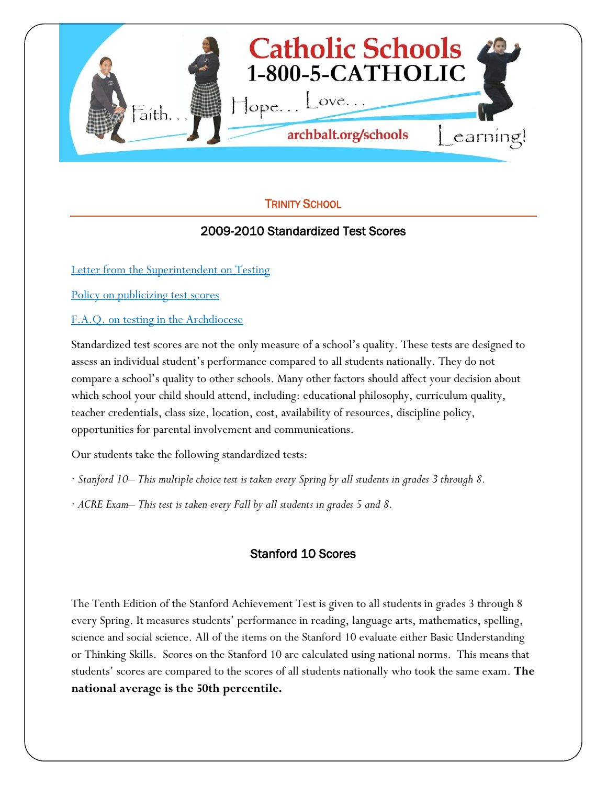

# TRINITY SCHOOL

## 2009-2010 Standardized Test Scores

[Letter from the Superintendent on Testing](http://www.archbalt.org/schools/standardized-tests/index.cfm)

[Policy on publicizing test scores](http://www.archbalt.org/schools/standardized-tests/scores.cfm)

[F.A.Q. on testing in the Archdiocese](http://www.archbalt.org/schools/standardized-tests/faqs.cfm)

Standardized test scores are not the only measure of a school's quality. These tests are designed to assess an individual student's performance compared to all students nationally. They do not compare a school's quality to other schools. Many other factors should affect your decision about which school your child should attend, including: educational philosophy, curriculum quality, teacher credentials, class size, location, cost, availability of resources, discipline policy, opportunities for parental involvement and communications.

Our students take the following standardized tests:

- · *Stanford 10– This multiple choice test is taken every Spring by all students in grades 3 through 8.*
- · *ACRE Exam– This test is taken every Fall by all students in grades 5 and 8.*

## Stanford 10 Scores

The Tenth Edition of the Stanford Achievement Test is given to all students in grades 3 through 8 every Spring. It measures students' performance in reading, language arts, mathematics, spelling, science and social science. All of the items on the Stanford 10 evaluate either Basic Understanding or Thinking Skills. Scores on the Stanford 10 are calculated using national norms. This means that students' scores are compared to the scores of all students nationally who took the same exam. **The national average is the 50th percentile.**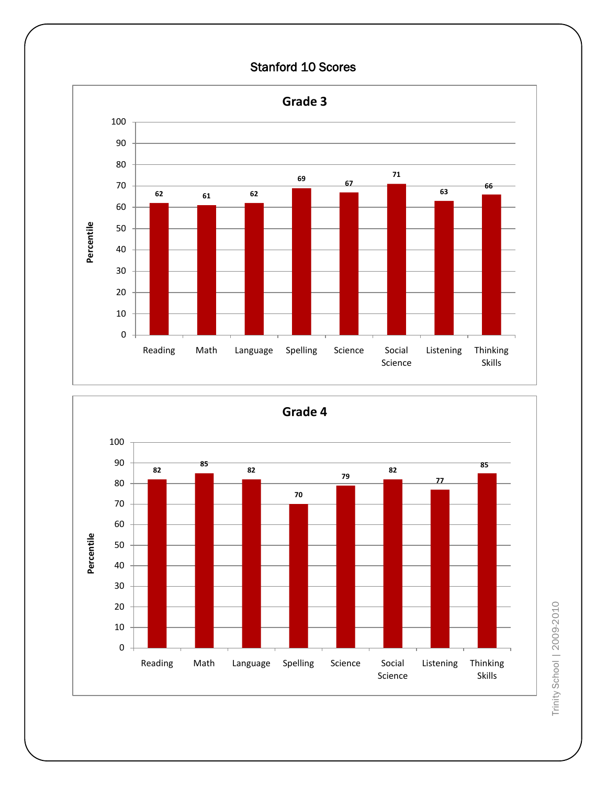### Stanford 10 Scores





Trinity School | 2009-2010 Trinity School | 2009-2010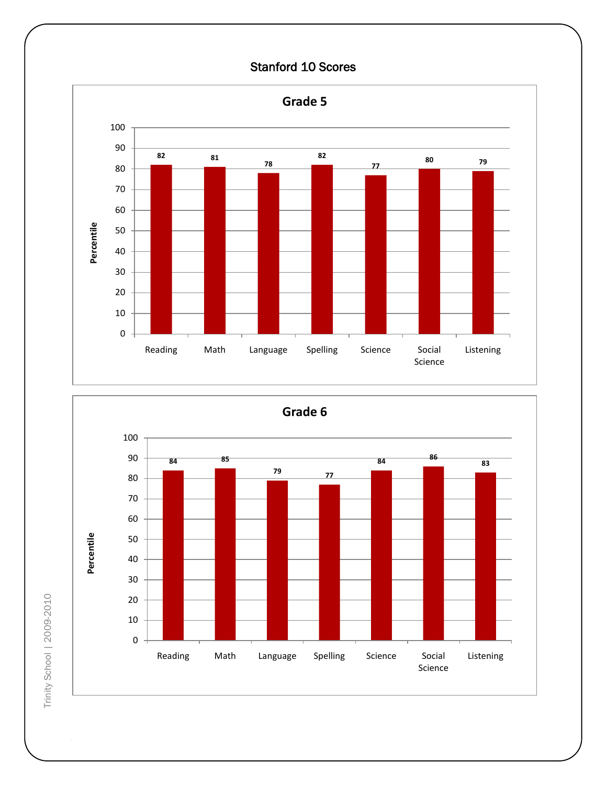# Stanford 10 Scores





Trinity School | 2009-2010 Trinity School | 2009-2010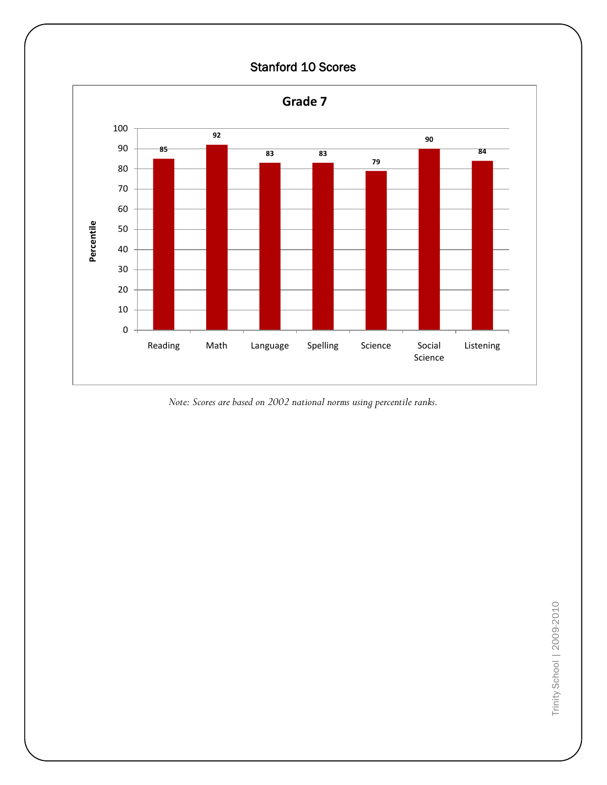

*Note: Scores are based on 2002 national norms using percentile ranks.*